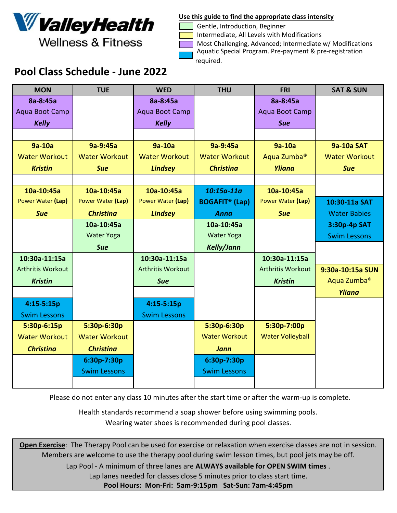

**Wellness & Fitness** 

Gentle, Introduction, Beginner

Intermediate, All Levels with Modifications

 Most Challenging, Advanced; Intermediate w/ Modifications Aquatic Special Program. Pre-payment & pre-registration required.

## Pool Class Schedule - June 2022

| <b>MON</b>               | <b>TUE</b>           | <b>WED</b>               | <b>THU</b>                       | <b>FRI</b>               | <b>SAT &amp; SUN</b>    |
|--------------------------|----------------------|--------------------------|----------------------------------|--------------------------|-------------------------|
| 8a-8:45a                 |                      | 8a-8:45a                 |                                  | 8a-8:45a                 |                         |
| Aqua Boot Camp           |                      | Aqua Boot Camp           |                                  | Aqua Boot Camp           |                         |
| <b>Kelly</b>             |                      | <b>Kelly</b>             |                                  | <b>Sue</b>               |                         |
|                          |                      |                          |                                  |                          |                         |
| 9a-10a                   | 9a-9:45a             | 9a-10a                   | 9a-9:45a                         | 9a-10a                   | <b>9a-10a SAT</b>       |
| <b>Water Workout</b>     | <b>Water Workout</b> | <b>Water Workout</b>     | <b>Water Workout</b>             | Aqua Zumba <sup>®</sup>  | <b>Water Workout</b>    |
| <b>Kristin</b>           | <b>Sue</b>           | <b>Lindsey</b>           | <b>Christina</b>                 | Yliana                   | <b>Sue</b>              |
|                          |                      |                          |                                  |                          |                         |
| 10a-10:45a               | 10a-10:45a           | 10a-10:45a               | $10:15a-11a$                     | 10a-10:45a               |                         |
| Power Water (Lap)        | Power Water (Lap)    | Power Water (Lap)        | <b>BOGAFIT<sup>®</sup></b> (Lap) | Power Water (Lap)        | 10:30-11a SAT           |
| <b>Sue</b>               | <b>Christina</b>     | <b>Lindsey</b>           | <b>Anna</b>                      | <b>Sue</b>               | <b>Water Babies</b>     |
|                          | 10a-10:45a           |                          | 10a-10:45a                       |                          | 3:30p-4p SAT            |
|                          | <b>Water Yoga</b>    |                          | <b>Water Yoga</b>                |                          | <b>Swim Lessons</b>     |
|                          | <b>Sue</b>           |                          | <b>Kelly/Jann</b>                |                          |                         |
| 10:30a-11:15a            |                      | 10:30a-11:15a            |                                  | 10:30a-11:15a            |                         |
| <b>Arthritis Workout</b> |                      | <b>Arthritis Workout</b> |                                  | <b>Arthritis Workout</b> | 9:30a-10:15a SUN        |
| <b>Kristin</b>           |                      | <b>Sue</b>               |                                  | <b>Kristin</b>           | Aqua Zumba <sup>®</sup> |
|                          |                      |                          |                                  |                          | <b>Yliana</b>           |
| $4:15 - 5:15p$           |                      | 4:15-5:15p               |                                  |                          |                         |
| <b>Swim Lessons</b>      |                      | <b>Swim Lessons</b>      |                                  |                          |                         |
| 5:30p-6:15p              | 5:30p-6:30p          |                          | 5:30p-6:30p                      | 5:30p-7:00p              |                         |
| <b>Water Workout</b>     | <b>Water Workout</b> |                          | <b>Water Workout</b>             | <b>Water Volleyball</b>  |                         |
| <b>Christina</b>         | <b>Christina</b>     |                          | <b>Jann</b>                      |                          |                         |
|                          | 6:30p-7:30p          |                          | 6:30p-7:30p                      |                          |                         |
|                          | <b>Swim Lessons</b>  |                          | <b>Swim Lessons</b>              |                          |                         |
|                          |                      |                          |                                  |                          |                         |

Please do not enter any class 10 minutes after the start time or after the warm-up is complete.

Health standards recommend a soap shower before using swimming pools. Wearing water shoes is recommended during pool classes.

Open Exercise: The Therapy Pool can be used for exercise or relaxation when exercise classes are not in session. Members are welcome to use the therapy pool during swim lesson times, but pool jets may be off.

Lap Pool - A minimum of three lanes are ALWAYS available for OPEN SWIM times.

Lap lanes needed for classes close 5 minutes prior to class start time.

Pool Hours: Mon-Fri: 5am-9:15pm Sat-Sun: 7am-4:45pm